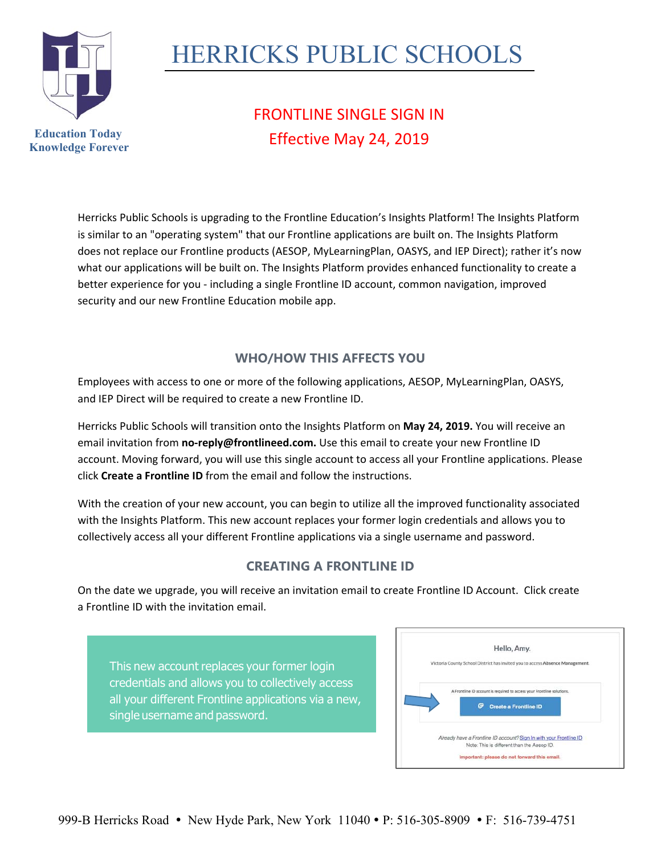

## HERRICKS PUBLIC SCHOOLS

## FRONTLINE SINGLE SIGN IN Effective May 24, 2019

Herricks Public Schools is upgrading to the Frontline Education's Insights Platform! The Insights Platform is similar to an "operating system" that our Frontline applications are built on. The Insights Platform does not replace our Frontline products (AESOP, MyLearningPlan, OASYS, and IEP Direct); rather it's now what our applications will be built on. The Insights Platform provides enhanced functionality to create a better experience for you ‐ including a single Frontline ID account, common navigation, improved security and our new Frontline Education mobile app.

## **WHO/HOW THIS AFFECTS YOU**

Employees with access to one or more of the following applications, AESOP, MyLearningPlan, OASYS, and IEP Direct will be required to create a new Frontline ID.

Herricks Public Schools will transition onto the Insights Platform on **May 24, 2019.** You will receive an email invitation from **no‐reply@frontlineed.com.** Use this email to create your new Frontline ID account. Moving forward, you will use this single account to access all your Frontline applications. Please click **Create a Frontline ID** from the email and follow the instructions.

With the creation of your new account, you can begin to utilize all the improved functionality associated with the Insights Platform. This new account replaces your former login credentials and allows you to collectively access all your different Frontline applications via a single username and password.

## **CREATING A FRONTLINE ID**

On the date we upgrade, you will receive an invitation email to create Frontline ID Account. Click create a Frontline ID with the invitation email.

This new account replaces your former login credentials and allows you to collectively access all your different Frontline applications via a new, single username and password.